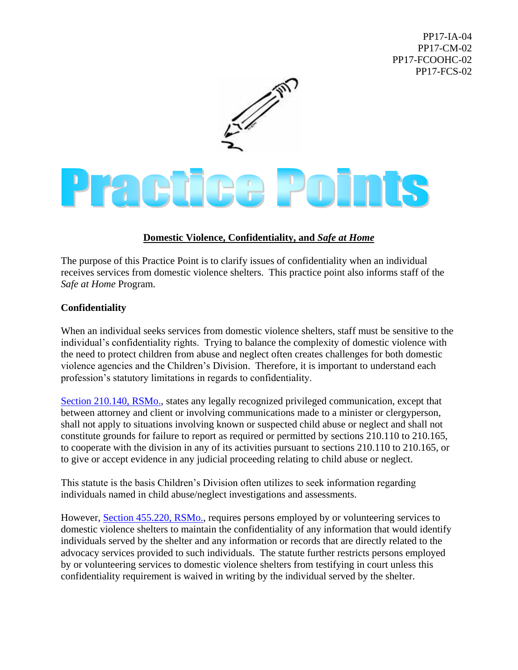PP17-IA-04 PP17-CM-02 PP17-FCOOHC-02 PP17-FCS-02



## Practica Points

## **Domestic Violence, Confidentiality, and** *Safe at Home*

The purpose of this Practice Point is to clarify issues of confidentiality when an individual receives services from domestic violence shelters. This practice point also informs staff of the *Safe at Home* Program.

## **Confidentiality**

When an individual seeks services from domestic violence shelters, staff must be sensitive to the individual's confidentiality rights. Trying to balance the complexity of domestic violence with the need to protect children from abuse and neglect often creates challenges for both domestic violence agencies and the Children's Division. Therefore, it is important to understand each profession's statutory limitations in regards to confidentiality.

[Section 210.140, RSMo.,](http://revisor.mo.gov/main/OneSection.aspx?section=210.140&bid=11309&hl=210.140%u2044) states any legally recognized privileged communication, except that between attorney and client or involving communications made to a minister or clergyperson, shall not apply to situations involving known or suspected child abuse or neglect and shall not constitute grounds for failure to report as required or permitted by sections 210.110 to 210.165, to cooperate with the division in any of its activities pursuant to sections 210.110 to 210.165, or to give or accept evidence in any judicial proceeding relating to child abuse or neglect.

This statute is the basis Children's Division often utilizes to seek information regarding individuals named in child abuse/neglect investigations and assessments.

However, [Section 455.220, RSMo.,](http://revisor.mo.gov/main/OneSection.aspx?section=455.220&bid=25554&hl=455.220%u2044) requires persons employed by or volunteering services to domestic violence shelters to maintain the confidentiality of any information that would identify individuals served by the shelter and any information or records that are directly related to the advocacy services provided to such individuals. The statute further restricts persons employed by or volunteering services to domestic violence shelters from testifying in court unless this confidentiality requirement is waived in writing by the individual served by the shelter.